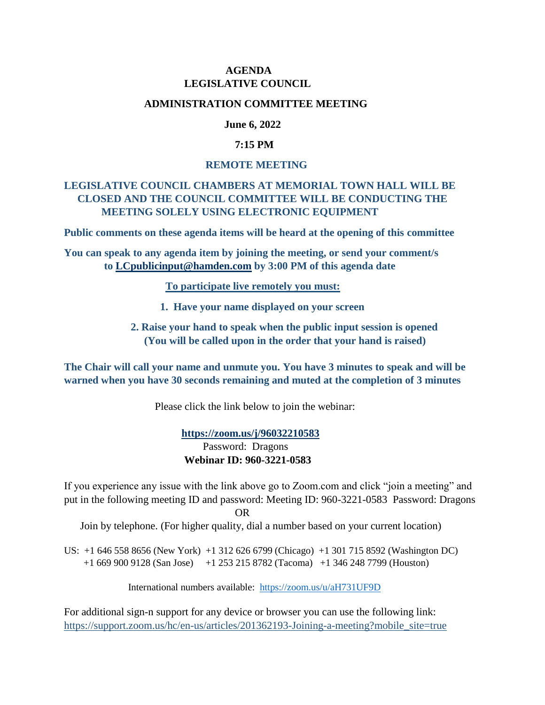## **AGENDA LEGISLATIVE COUNCIL**

#### **ADMINISTRATION COMMITTEE MEETING**

## **June 6, 2022**

### **7:15 PM**

#### **REMOTE MEETING**

# **LEGISLATIVE COUNCIL CHAMBERS AT MEMORIAL TOWN HALL WILL BE CLOSED AND THE COUNCIL COMMITTEE WILL BE CONDUCTING THE MEETING SOLELY USING ELECTRONIC EQUIPMENT**

**Public comments on these agenda items will be heard at the opening of this committee**

**You can speak to any agenda item by joining the meeting, or send your comment/s to [LCpublicinput@hamden.com](mailto:LCpublicinput@hamden.com) by 3:00 PM of this agenda date**

 **To participate live remotely you must:**

- **1. Have your name displayed on your screen**
- **2. Raise your hand to speak when the public input session is opened (You will be called upon in the order that your hand is raised)**

**The Chair will call your name and unmute you. You have 3 minutes to speak and will be warned when you have 30 seconds remaining and muted at the completion of 3 minutes**

Please click the link below to join the webinar:

 **<https://zoom.us/j/96032210583>** Password: Dragons **Webinar ID: 960-3221-0583**

If you experience any issue with the link above go to Zoom.com and click "join a meeting" and put in the following meeting ID and password: Meeting ID: 960-3221-0583 Password: Dragons OR

Join by telephone. (For higher quality, dial a number based on your current location)

US: +1 646 558 8656 (New York) +1 312 626 6799 (Chicago) +1 301 715 8592 (Washington DC) +1 669 900 9128 (San Jose) +1 253 215 8782 (Tacoma) +1 346 248 7799 (Houston)

International numbers available: <https://zoom.us/u/aH731UF9D>

For additional sign-n support for any device or browser you can use the following link: [https://support.zoom.us/hc/en-us/articles/201362193-Joining-a-meeting?mobile\\_site=true](https://support.zoom.us/hc/en-us/articles/201362193-Joining-a-meeting?mobile_site=true)